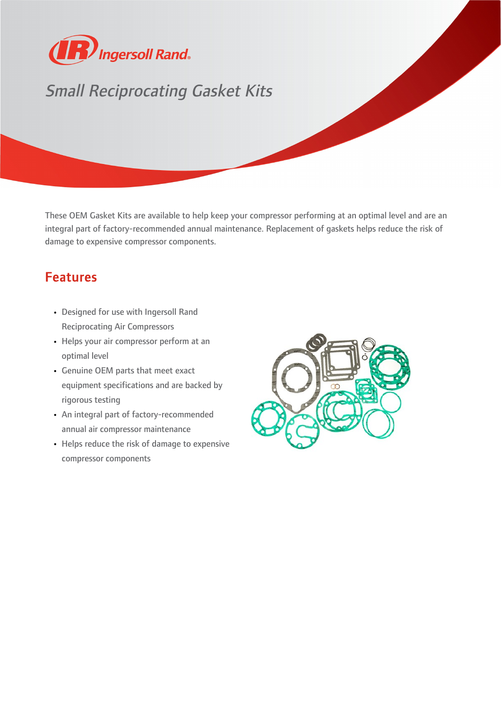

## Small Reciprocating Gasket Kits

These OEM Gasket Kits are available to help keep your compressor performing at an optimal level and are an integral part of factory-recommended annual maintenance. Replacement of gaskets helps reduce the risk of damage to expensive compressor components.

## Features

- Designed for use with Ingersoll Rand Reciprocating Air Compressors
- Helps your air compressor perform at an optimal level
- Genuine OEM parts that meet exact equipment specifications and are backed by rigorous testing
- An integral part of factory-recommended annual air compressor maintenance
- Helps reduce the risk of damage to expensive compressor components